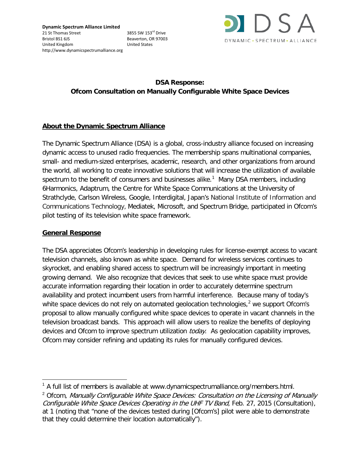

# **DSA Response: Ofcom Consultation on Manually Configurable White Space Devices**

#### **About the Dynamic Spectrum Alliance**

The Dynamic Spectrum Alliance (DSA) is a global, cross-industry alliance focused on increasing dynamic access to unused radio frequencies. The membership spans multinational companies, small- and medium-sized enterprises, academic, research, and other organizations from around the world, all working to create innovative solutions that will increase the utilization of available spectrum to the benefit of consumers and businesses alike.<sup>[1](#page-0-0)</sup> Many DSA members, including 6Harmonics, Adaptrum, the Centre for White Space Communications at the University of Strathclyde, Carlson Wireless, Google, Interdigital, Japan's National Institute of Information and Communications Technology, Mediatek, Microsoft, and Spectrum Bridge, participated in Ofcom's pilot testing of its television white space framework.

#### **General Response**

 $\overline{a}$ 

The DSA appreciates Ofcom's leadership in developing rules for license-exempt access to vacant television channels, also known as white space. Demand for wireless services continues to skyrocket, and enabling shared access to spectrum will be increasingly important in meeting growing demand. We also recognize that devices that seek to use white space must provide accurate information regarding their location in order to accurately determine spectrum availability and protect incumbent users from harmful interference. Because many of today's white space devices do not rely on automated geolocation technologies, $<sup>2</sup>$  $<sup>2</sup>$  $<sup>2</sup>$  we support Ofcom's</sup> proposal to allow manually configured white space devices to operate in vacant channels in the television broadcast bands. This approach will allow users to realize the benefits of deploying devices and Ofcom to improve spectrum utilization *today*. As geolocation capability improves, Ofcom may consider refining and updating its rules for manually configured devices.

<span id="page-0-0"></span> $1$  A full list of members is available at www.dynamicspectrumalliance.org/members.html.

<span id="page-0-1"></span><sup>&</sup>lt;sup>2</sup> Ofcom, Manually Configurable White Space Devices: Consultation on the Licensing of Manually Configurable White Space Devices Operating in the UHF TV Band, Feb. 27, 2015 (Consultation), at 1 (noting that "none of the devices tested during [Ofcom's] pilot were able to demonstrate that they could determine their location automatically").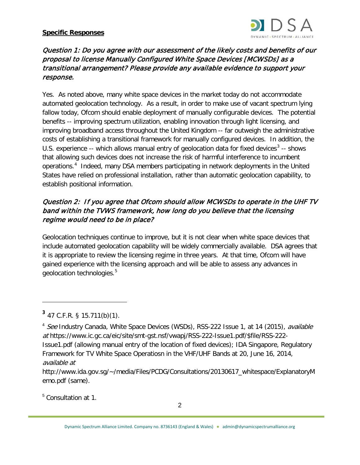#### **Specific Responses**



#### Question 1: Do you agree with our assessment of the likely costs and benefits of our proposal to license Manually Configured White Space Devices [MCWSDs] as a transitional arrangement? Please provide any available evidence to support your response.

Yes. As noted above, many white space devices in the market today do not accommodate automated geolocation technology. As a result, in order to make use of vacant spectrum lying fallow today, Ofcom should enable deployment of manually configurable devices. The potential benefits -- improving spectrum utilization, enabling innovation through light licensing, and improving broadband access throughout the United Kingdom -- far outweigh the administrative costs of establishing a transitional framework for manually configured devices. In addition, the U.S. experience  $-$  which allows manual entry of geolocation data for fixed devices<sup>[3](#page-1-0)</sup>  $-$  shows that allowing such devices does not increase the risk of harmful interference to incumbent operations.[4](#page-1-1) Indeed, many DSA members participating in network deployments in the United States have relied on professional installation, rather than automatic geolocation capability, to establish positional information.

## Question 2: If you agree that Ofcom should allow MCWSDs to operate in the UHF TV band within the TVWS framework, how long do you believe that the licensing regime would need to be in place?

Geolocation techniques continue to improve, but it is not clear when white space devices that include automated geolocation capability will be widely commercially available. DSA agrees that it is appropriate to review the licensing regime in three years. At that time, Ofcom will have gained experience with the licensing approach and will be able to assess any advances in geolocation technologies.<sup>[5](#page-1-2)</sup>

 $\overline{a}$ 

<span id="page-1-2"></span><sup>5</sup> Consultation at 1.

<span id="page-1-0"></span>**<sup>3</sup>** 47 C.F.R. § 15.711(b)(1).

<span id="page-1-1"></span><sup>&</sup>lt;sup>4</sup> See Industry Canada, White Space Devices (WSDs), RSS-222 Issue 1, at 14 (2015), *available* at https://www.ic.gc.ca/eic/site/smt-gst.nsf/vwapj/RSS-222-Issue1.pdf/\$file/RSS-222- Issue1.pdf (allowing manual entry of the location of fixed devices); IDA Singapore, Regulatory Framework for TV White Space Operatiosn in the VHF/UHF Bands at 20, June 16, 2014, available at

http://www.ida.gov.sg/~/media/Files/PCDG/Consultations/20130617\_whitespace/ExplanatoryM emo.pdf (same).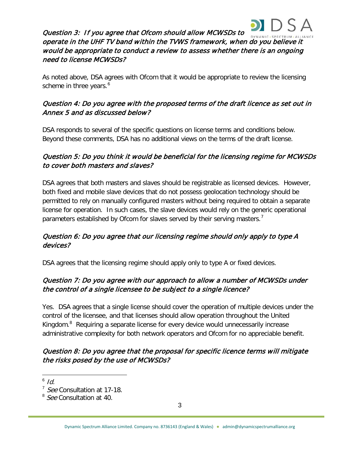

Question 3: If you agree that Ofcom should allow MCWSDs to operate in the UHF TV band within the TVWS framework, when do you believe it would be appropriate to conduct a review to assess whether there is an ongoing need to license MCWSDs?

As noted above, DSA agrees with Ofcom that it would be appropriate to review the licensing scheme in three years.<sup>[6](#page-2-0)</sup>

# Question 4: Do you agree with the proposed terms of the draft licence as set out in Annex 5 and as discussed below?

DSA responds to several of the specific questions on license terms and conditions below. Beyond these comments, DSA has no additional views on the terms of the draft license.

## Question 5: Do you think it would be beneficial for the licensing regime for MCWSDs to cover both masters and slaves?

DSA agrees that both masters and slaves should be registrable as licensed devices. However, both fixed and mobile slave devices that do not possess geolocation technology should be permitted to rely on manually configured masters without being required to obtain a separate license for operation. In such cases, the slave devices would rely on the generic operational parameters established by Ofcom for slaves served by their serving masters.<sup>[7](#page-2-1)</sup>

## Question 6: Do you agree that our licensing regime should only apply to type A devices?

DSA agrees that the licensing regime should apply only to type A or fixed devices.

## Question 7: Do you agree with our approach to allow a number of MCWSDs under the control of a single licensee to be subject to a single licence?

Yes. DSA agrees that a single license should cover the operation of multiple devices under the control of the licensee, and that licenses should allow operation throughout the United Kingdom.<sup>[8](#page-2-2)</sup> Requiring a separate license for every device would unnecessarily increase administrative complexity for both network operators and Ofcom for no appreciable benefit.

## Question 8: Do you agree that the proposal for specific licence terms will mitigate the risks posed by the use of MCWSDs?

 $^6$  Id.  $\overline{a}$ 

<span id="page-2-1"></span><span id="page-2-0"></span><sup>&</sup>lt;sup>7</sup> See Consultation at 17-18.

<span id="page-2-2"></span><sup>&</sup>lt;sup>8</sup> See Consultation at 40.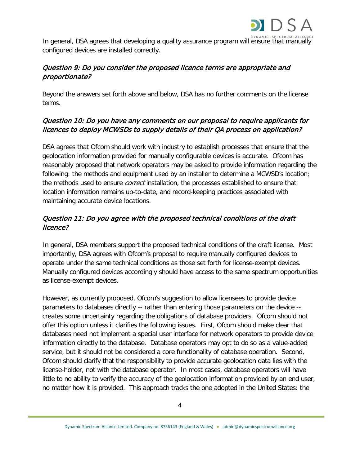

In general, DSA agrees that developing a quality assurance program will ensure that manually configured devices are installed correctly.

# Question 9: Do you consider the proposed licence terms are appropriate and proportionate?

Beyond the answers set forth above and below, DSA has no further comments on the license terms.

## Question 10: Do you have any comments on our proposal to require applicants for licences to deploy MCWSDs to supply details of their QA process on application?

DSA agrees that Ofcom should work with industry to establish processes that ensure that the geolocation information provided for manually configurable devices is accurate. Ofcom has reasonably proposed that network operators may be asked to provide information regarding the following: the methods and equipment used by an installer to determine a MCWSD's location; the methods used to ensure *correct* installation, the processes established to ensure that location information remains up-to-date, and record-keeping practices associated with maintaining accurate device locations.

# Question 11: Do you agree with the proposed technical conditions of the draft licence?

In general, DSA members support the proposed technical conditions of the draft license. Most importantly, DSA agrees with Ofcom's proposal to require manually configured devices to operate under the same technical conditions as those set forth for license-exempt devices. Manually configured devices accordingly should have access to the same spectrum opportunities as license-exempt devices.

However, as currently proposed, Ofcom's suggestion to allow licensees to provide device parameters to databases directly -- rather than entering those parameters on the device - creates some uncertainty regarding the obligations of database providers. Ofcom should not offer this option unless it clarifies the following issues. First, Ofcom should make clear that databases need not implement a special user interface for network operators to provide device information directly to the database. Database operators may opt to do so as a value-added service, but it should not be considered a core functionality of database operation. Second, Ofcom should clarify that the responsibility to provide accurate geolocation data lies with the license-holder, not with the database operator. In most cases, database operators will have little to no ability to verify the accuracy of the geolocation information provided by an end user, no matter how it is provided. This approach tracks the one adopted in the United States: the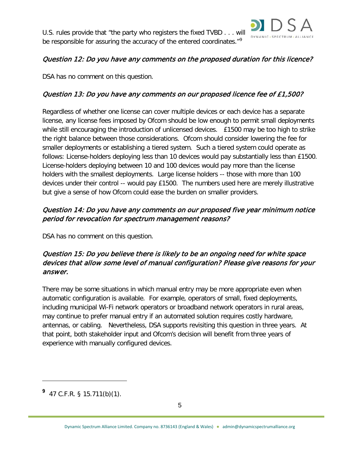

### Question 12: Do you have any comments on the proposed duration for this licence?

DSA has no comment on this question.

# Question 13: Do you have any comments on our proposed licence fee of £1,500?

Regardless of whether one license can cover multiple devices or each device has a separate license, any license fees imposed by Ofcom should be low enough to permit small deployments while still encouraging the introduction of unlicensed devices. £1500 may be too high to strike the right balance between those considerations. Ofcom should consider lowering the fee for smaller deployments or establishing a tiered system. Such a tiered system could operate as follows: License-holders deploying less than 10 devices would pay substantially less than £1500. License-holders deploying between 10 and 100 devices would pay more than the license holders with the smallest deployments. Large license holders -- those with more than 100 devices under their control -- would pay £1500. The numbers used here are merely illustrative but give a sense of how Ofcom could ease the burden on smaller providers.

## Question 14: Do you have any comments on our proposed five year minimum notice period for revocation for spectrum management reasons?

DSA has no comment on this question.

## Question 15: Do you believe there is likely to be an ongoing need for white space devices that allow some level of manual configuration? Please give reasons for your answer.

There may be some situations in which manual entry may be more appropriate even when automatic configuration is available. For example, operators of small, fixed deployments, including municipal Wi-Fi network operators or broadband network operators in rural areas, may continue to prefer manual entry if an automated solution requires costly hardware, antennas, or cabling. Nevertheless, DSA supports revisiting this question in three years. At that point, both stakeholder input and Ofcom's decision will benefit from three years of experience with manually configured devices.

 $\overline{a}$ 

<span id="page-4-0"></span>**<sup>9</sup>** 47 C.F.R. § 15.711(b)(1).